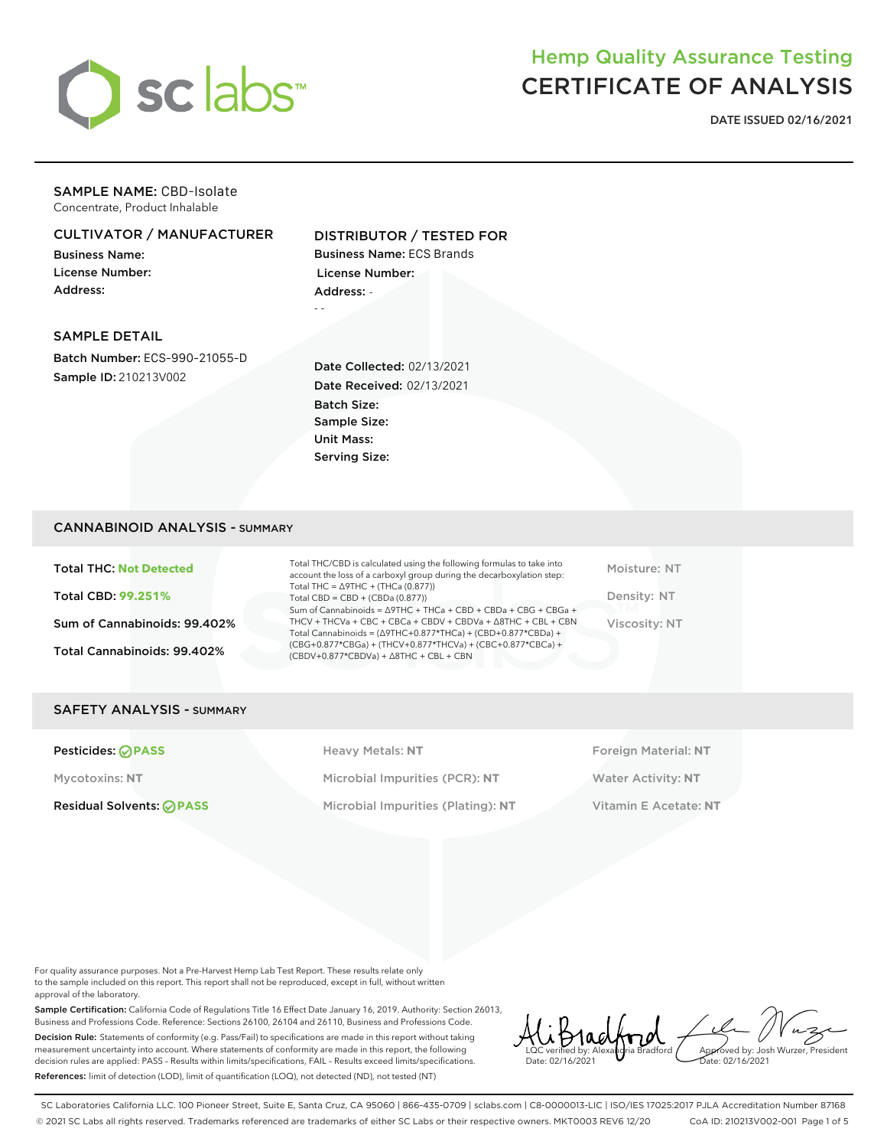

# Hemp Quality Assurance Testing CERTIFICATE OF ANALYSIS

**DATE ISSUED 02/16/2021**

## SAMPLE NAME: CBD-Isolate Concentrate, Product Inhalable

# CULTIVATOR / MANUFACTURER

Business Name: License Number: Address:

# DISTRIBUTOR / TESTED FOR

Business Name: ECS Brands License Number: Address: - - -

#### SAMPLE DETAIL

Batch Number: ECS-990-21055-D Sample ID: 210213V002

Date Collected: 02/13/2021 Date Received: 02/13/2021 Batch Size: Sample Size: Unit Mass: Serving Size:

### CANNABINOID ANALYSIS - SUMMARY

Total THC: **Not Detected** Total CBD: **99.251%** Sum of Cannabinoids: 99.402%

Total Cannabinoids: 99.402%

Total THC/CBD is calculated using the following formulas to take into account the loss of a carboxyl group during the decarboxylation step: Total THC = ∆9THC + (THCa (0.877)) Total CBD = CBD + (CBDa (0.877)) Sum of Cannabinoids = ∆9THC + THCa + CBD + CBDa + CBG + CBGa + THCV + THCVa + CBC + CBCa + CBDV + CBDVa + ∆8THC + CBL + CBN Total Cannabinoids = (∆9THC+0.877\*THCa) + (CBD+0.877\*CBDa) + (CBG+0.877\*CBGa) + (THCV+0.877\*THCVa) + (CBC+0.877\*CBCa) + (CBDV+0.877\*CBDVa) + ∆8THC + CBL + CBN

Moisture: NT Density: NT Viscosity: NT

## SAFETY ANALYSIS - SUMMARY

**Pesticides: PASS Heavy Metals: NT Heavy Metals: NT Foreign Material: NT** Mycotoxins: **NT** Microbial Impurities (PCR): **NT** Water Activity: **NT** Residual Solvents: **PASS** Microbial Impurities (Plating): **NT** Vitamin E Acetate: **NT**

For quality assurance purposes. Not a Pre-Harvest Hemp Lab Test Report. These results relate only to the sample included on this report. This report shall not be reproduced, except in full, without written approval of the laboratory.

Sample Certification: California Code of Regulations Title 16 Effect Date January 16, 2019. Authority: Section 26013, Business and Professions Code. Reference: Sections 26100, 26104 and 26110, Business and Professions Code. Decision Rule: Statements of conformity (e.g. Pass/Fail) to specifications are made in this report without taking measurement uncertainty into account. Where statements of conformity are made in this report, the following decision rules are applied: PASS – Results within limits/specifications, FAIL – Results exceed limits/specifications. References: limit of detection (LOD), limit of quantification (LOQ), not detected (ND), not tested (NT)

LQC verified by: Alexandria Bradford Date: 02/16/2021 Approved by: Josh Wurzer, President ate: 02/16/2021

SC Laboratories California LLC. 100 Pioneer Street, Suite E, Santa Cruz, CA 95060 | 866-435-0709 | sclabs.com | C8-0000013-LIC | ISO/IES 17025:2017 PJLA Accreditation Number 87168 © 2021 SC Labs all rights reserved. Trademarks referenced are trademarks of either SC Labs or their respective owners. MKT0003 REV6 12/20 CoA ID: 210213V002-001 Page 1 of 5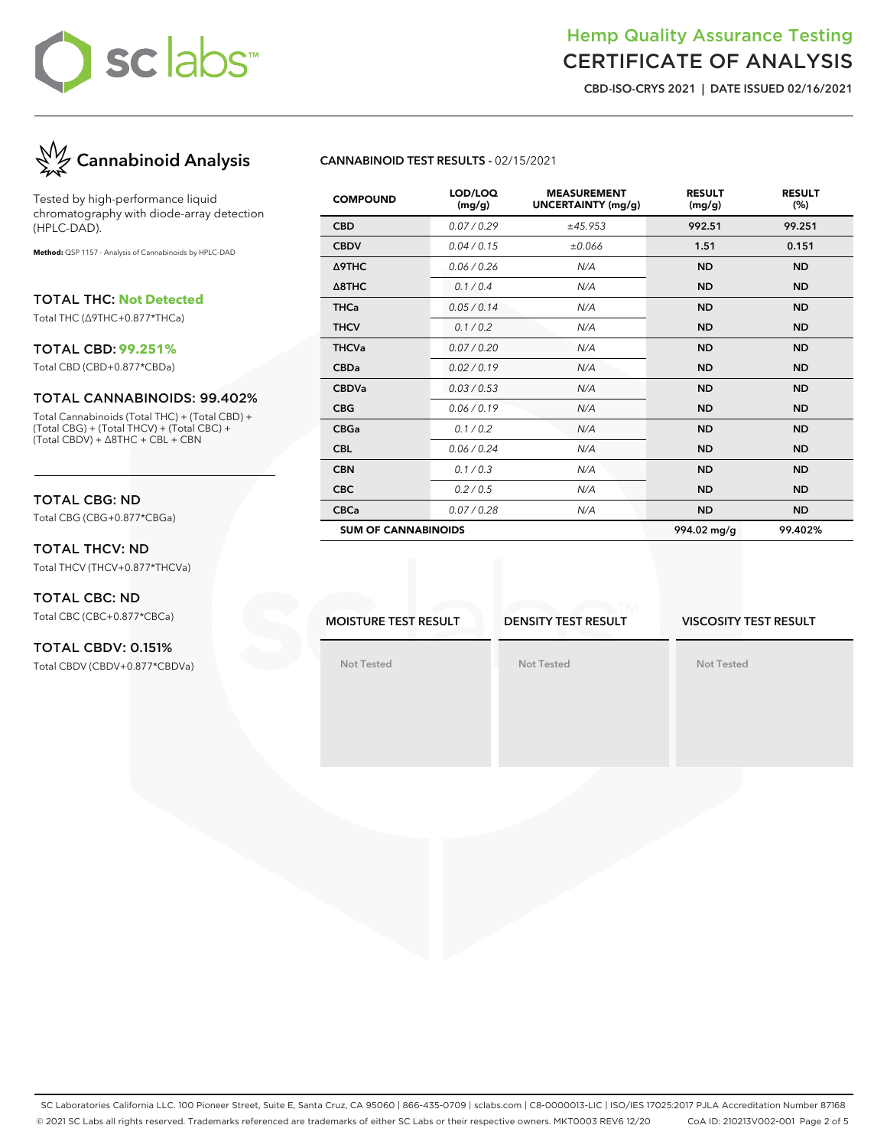# sclabs™

# Hemp Quality Assurance Testing CERTIFICATE OF ANALYSIS

**CBD-ISO-CRYS 2021 | DATE ISSUED 02/16/2021**



Tested by high-performance liquid chromatography with diode-array detection (HPLC-DAD).

**Method:** QSP 1157 - Analysis of Cannabinoids by HPLC-DAD

TOTAL THC: **Not Detected**

Total THC (∆9THC+0.877\*THCa)

#### TOTAL CBD: **99.251%**

Total CBD (CBD+0.877\*CBDa)

#### TOTAL CANNABINOIDS: 99.402%

Total Cannabinoids (Total THC) + (Total CBD) + (Total CBG) + (Total THCV) + (Total CBC) + (Total CBDV) + ∆8THC + CBL + CBN

# TOTAL CBG: ND

Total CBG (CBG+0.877\*CBGa)

# TOTAL THCV: ND Total THCV (THCV+0.877\*THCVa)

TOTAL CBC: ND Total CBC (CBC+0.877\*CBCa)

## TOTAL CBDV: 0.151% Total CBDV (CBDV+0.877\*CBDVa)

# **CANNABINOID TEST RESULTS -** 02/15/2021

| <b>COMPOUND</b>            | LOD/LOQ<br>(mg/g) | <b>MEASUREMENT</b><br><b>UNCERTAINTY (mg/g)</b> | <b>RESULT</b><br>(mg/g) | <b>RESULT</b><br>(%) |
|----------------------------|-------------------|-------------------------------------------------|-------------------------|----------------------|
| <b>CBD</b>                 | 0.07/0.29         | ±45.953                                         | 992.51                  | 99.251               |
| <b>CBDV</b>                | 0.04 / 0.15       | ±0.066                                          | 1.51                    | 0.151                |
| Δ9THC                      | 0.06 / 0.26       | N/A                                             | <b>ND</b>               | <b>ND</b>            |
| $\triangle$ 8THC           | 0.1/0.4           | N/A                                             | <b>ND</b>               | <b>ND</b>            |
| <b>THCa</b>                | 0.05/0.14         | N/A                                             | <b>ND</b>               | <b>ND</b>            |
| <b>THCV</b>                | 0.1 / 0.2         | N/A                                             | <b>ND</b>               | <b>ND</b>            |
| <b>THCVa</b>               | 0.07 / 0.20       | N/A                                             | <b>ND</b>               | <b>ND</b>            |
| <b>CBDa</b>                | 0.02 / 0.19       | N/A                                             | <b>ND</b>               | <b>ND</b>            |
| <b>CBDVa</b>               | 0.03 / 0.53       | N/A                                             | <b>ND</b>               | <b>ND</b>            |
| <b>CBG</b>                 | 0.06 / 0.19       | N/A                                             | <b>ND</b>               | <b>ND</b>            |
| <b>CBGa</b>                | 0.1 / 0.2         | N/A                                             | <b>ND</b>               | <b>ND</b>            |
| <b>CBL</b>                 | 0.06 / 0.24       | N/A                                             | <b>ND</b>               | <b>ND</b>            |
| <b>CBN</b>                 | 0.1 / 0.3         | N/A                                             | <b>ND</b>               | <b>ND</b>            |
| <b>CBC</b>                 | 0.2 / 0.5         | N/A                                             | <b>ND</b>               | <b>ND</b>            |
| <b>CBCa</b>                | 0.07 / 0.28       | N/A                                             | <b>ND</b>               | <b>ND</b>            |
| <b>SUM OF CANNABINOIDS</b> |                   |                                                 | 994.02 mg/g             | 99.402%              |

**MOISTURE TEST RESULT**

**DENSITY TEST RESULT**

**Not Tested**

#### **VISCOSITY TEST RESULT**

**Not Tested**

**Not Tested**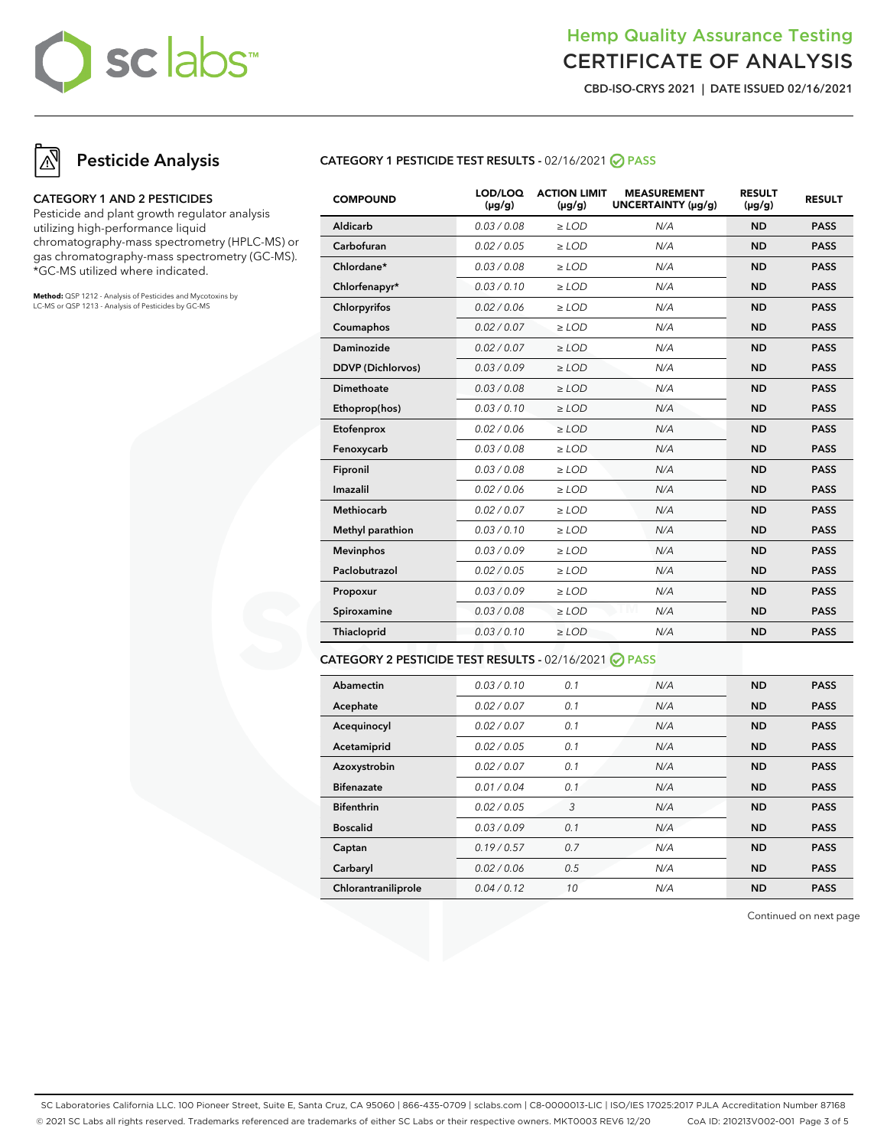# sclabs™

# Hemp Quality Assurance Testing CERTIFICATE OF ANALYSIS

**CBD-ISO-CRYS 2021 | DATE ISSUED 02/16/2021**

# **Pesticide Analysis**

#### **CATEGORY 1 AND 2 PESTICIDES**

Pesticide and plant growth regulator analysis utilizing high-performance liquid chromatography-mass spectrometry (HPLC-MS) or gas chromatography-mass spectrometry (GC-MS). \*GC-MS utilized where indicated.

**Method:** QSP 1212 - Analysis of Pesticides and Mycotoxins by LC-MS or QSP 1213 - Analysis of Pesticides by GC-MS

# **CATEGORY 1 PESTICIDE TEST RESULTS -** 02/16/2021 **PASS**

| <b>COMPOUND</b>          | LOD/LOQ<br>$(\mu g/g)$ | <b>ACTION LIMIT</b><br>$(\mu q/q)$ | <b>MEASUREMENT</b><br>UNCERTAINTY (µg/g) | <b>RESULT</b><br>$(\mu g/g)$ | <b>RESULT</b> |
|--------------------------|------------------------|------------------------------------|------------------------------------------|------------------------------|---------------|
| Aldicarb                 | 0.03 / 0.08            | $\ge$ LOD                          | N/A                                      | <b>ND</b>                    | <b>PASS</b>   |
| Carbofuran               | 0.02 / 0.05            | $\ge$ LOD                          | N/A                                      | <b>ND</b>                    | <b>PASS</b>   |
| Chlordane*               | 0.03 / 0.08            | $\ge$ LOD                          | N/A                                      | <b>ND</b>                    | <b>PASS</b>   |
| Chlorfenapyr*            | 0.03/0.10              | $\ge$ LOD                          | N/A                                      | <b>ND</b>                    | <b>PASS</b>   |
| Chlorpyrifos             | 0.02 / 0.06            | $\ge$ LOD                          | N/A                                      | <b>ND</b>                    | <b>PASS</b>   |
| Coumaphos                | 0.02 / 0.07            | $\ge$ LOD                          | N/A                                      | <b>ND</b>                    | <b>PASS</b>   |
| Daminozide               | 0.02/0.07              | $>$ LOD                            | N/A                                      | <b>ND</b>                    | <b>PASS</b>   |
| <b>DDVP</b> (Dichlorvos) | 0.03/0.09              | $\ge$ LOD                          | N/A                                      | <b>ND</b>                    | <b>PASS</b>   |
| <b>Dimethoate</b>        | 0.03 / 0.08            | $\ge$ LOD                          | N/A                                      | <b>ND</b>                    | <b>PASS</b>   |
| Ethoprop(hos)            | 0.03/0.10              | $\ge$ LOD                          | N/A                                      | <b>ND</b>                    | <b>PASS</b>   |
| Etofenprox               | 0.02 / 0.06            | $\ge$ LOD                          | N/A                                      | <b>ND</b>                    | <b>PASS</b>   |
| Fenoxycarb               | 0.03 / 0.08            | $\ge$ LOD                          | N/A                                      | <b>ND</b>                    | <b>PASS</b>   |
| Fipronil                 | 0.03 / 0.08            | $\ge$ LOD                          | N/A                                      | <b>ND</b>                    | <b>PASS</b>   |
| Imazalil                 | 0.02 / 0.06            | $\ge$ LOD                          | N/A                                      | <b>ND</b>                    | <b>PASS</b>   |
| Methiocarb               | 0.02 / 0.07            | $\ge$ LOD                          | N/A                                      | <b>ND</b>                    | <b>PASS</b>   |
| Methyl parathion         | 0.03/0.10              | $\ge$ LOD                          | N/A                                      | <b>ND</b>                    | <b>PASS</b>   |
| <b>Mevinphos</b>         | 0.03/0.09              | $\ge$ LOD                          | N/A                                      | <b>ND</b>                    | <b>PASS</b>   |
| Paclobutrazol            | 0.02 / 0.05            | $\ge$ LOD                          | N/A                                      | <b>ND</b>                    | <b>PASS</b>   |
| Propoxur                 | 0.03/0.09              | $\ge$ LOD                          | N/A                                      | <b>ND</b>                    | <b>PASS</b>   |
| Spiroxamine              | 0.03/0.08              | $\ge$ LOD                          | M<br>N/A                                 | <b>ND</b>                    | <b>PASS</b>   |
| Thiacloprid              | 0.03/0.10              | $\ge$ LOD                          | N/A                                      | <b>ND</b>                    | <b>PASS</b>   |
|                          |                        |                                    |                                          |                              |               |

### **CATEGORY 2 PESTICIDE TEST RESULTS -** 02/16/2021 **PASS**

| Abamectin           | 0.03/0.10   | 0.1 | N/A | <b>ND</b> | <b>PASS</b> |
|---------------------|-------------|-----|-----|-----------|-------------|
| Acephate            | 0.02 / 0.07 | 0.1 | N/A | <b>ND</b> | <b>PASS</b> |
| Acequinocyl         | 0.02 / 0.07 | 0.1 | N/A | <b>ND</b> | <b>PASS</b> |
| Acetamiprid         | 0.02 / 0.05 | 0.1 | N/A | <b>ND</b> | <b>PASS</b> |
| Azoxystrobin        | 0.02 / 0.07 | 0.1 | N/A | <b>ND</b> | <b>PASS</b> |
| <b>Bifenazate</b>   | 0.01 / 0.04 | 0.1 | N/A | <b>ND</b> | <b>PASS</b> |
| <b>Bifenthrin</b>   | 0.02 / 0.05 | 3   | N/A | <b>ND</b> | <b>PASS</b> |
| <b>Boscalid</b>     | 0.03/0.09   | 0.1 | N/A | <b>ND</b> | <b>PASS</b> |
| Captan              | 0.19/0.57   | 0.7 | N/A | <b>ND</b> | <b>PASS</b> |
| Carbaryl            | 0.02 / 0.06 | 0.5 | N/A | <b>ND</b> | <b>PASS</b> |
| Chlorantraniliprole | 0.04/0.12   | 10  | N/A | <b>ND</b> | <b>PASS</b> |

Continued on next page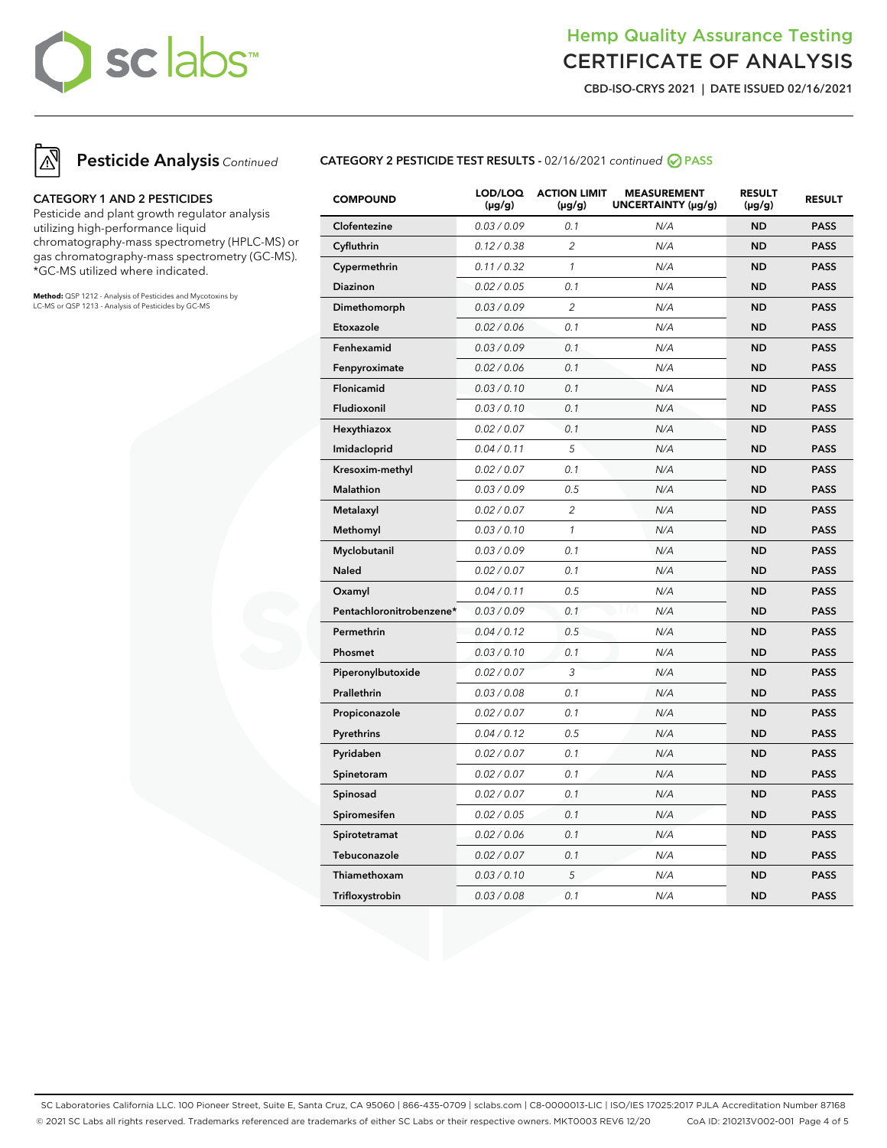# sclabs™

# Hemp Quality Assurance Testing CERTIFICATE OF ANALYSIS

**CBD-ISO-CRYS 2021 | DATE ISSUED 02/16/2021**





## **CATEGORY 1 AND 2 PESTICIDES**

Pesticide and plant growth regulator analysis utilizing high-performance liquid chromatography-mass spectrometry (HPLC-MS) or gas chromatography-mass spectrometry (GC-MS). \*GC-MS utilized where indicated.

**Method:** QSP 1212 - Analysis of Pesticides and Mycotoxins by LC-MS or QSP 1213 - Analysis of Pesticides by GC-MS

# **CATEGORY 2 PESTICIDE TEST RESULTS -** 02/16/2021 continued **PASS**

| <b>COMPOUND</b>          | LOD/LOQ<br>$(\mu g/g)$ | <b>ACTION LIMIT</b><br>(µg/g) | <b>MEASUREMENT</b><br>UNCERTAINTY (µg/g) | <b>RESULT</b><br>(µg/g) | <b>RESULT</b> |
|--------------------------|------------------------|-------------------------------|------------------------------------------|-------------------------|---------------|
| Clofentezine             | 0.03 / 0.09            | 0.1                           | N/A                                      | <b>ND</b>               | <b>PASS</b>   |
| Cyfluthrin               | 0.12 / 0.38            | $\overline{2}$                | N/A                                      | <b>ND</b>               | <b>PASS</b>   |
| Cypermethrin             | 0.11 / 0.32            | 1                             | N/A                                      | <b>ND</b>               | <b>PASS</b>   |
| <b>Diazinon</b>          | 0.02 / 0.05            | 0.1                           | N/A                                      | <b>ND</b>               | <b>PASS</b>   |
| Dimethomorph             | 0.03 / 0.09            | $\overline{c}$                | N/A                                      | <b>ND</b>               | <b>PASS</b>   |
| Etoxazole                | 0.02 / 0.06            | 0.1                           | N/A                                      | <b>ND</b>               | <b>PASS</b>   |
| Fenhexamid               | 0.03 / 0.09            | 0.1                           | N/A                                      | <b>ND</b>               | <b>PASS</b>   |
| Fenpyroximate            | 0.02 / 0.06            | 0.1                           | N/A                                      | <b>ND</b>               | <b>PASS</b>   |
| Flonicamid               | 0.03 / 0.10            | 0.1                           | N/A                                      | <b>ND</b>               | <b>PASS</b>   |
| Fludioxonil              | 0.03 / 0.10            | 0.1                           | N/A                                      | <b>ND</b>               | <b>PASS</b>   |
| Hexythiazox              | 0.02 / 0.07            | 0.1                           | N/A                                      | <b>ND</b>               | <b>PASS</b>   |
| Imidacloprid             | 0.04 / 0.11            | 5                             | N/A                                      | <b>ND</b>               | <b>PASS</b>   |
| Kresoxim-methyl          | 0.02 / 0.07            | 0.1                           | N/A                                      | <b>ND</b>               | <b>PASS</b>   |
| Malathion                | 0.03 / 0.09            | 0.5                           | N/A                                      | ND                      | <b>PASS</b>   |
| Metalaxyl                | 0.02 / 0.07            | $\overline{c}$                | N/A                                      | <b>ND</b>               | <b>PASS</b>   |
| Methomyl                 | 0.03 / 0.10            | $\mathcal{I}$                 | N/A                                      | <b>ND</b>               | <b>PASS</b>   |
| Myclobutanil             | 0.03 / 0.09            | 0.1                           | N/A                                      | <b>ND</b>               | <b>PASS</b>   |
| <b>Naled</b>             | 0.02 / 0.07            | 0.1                           | N/A                                      | <b>ND</b>               | <b>PASS</b>   |
| Oxamyl                   | 0.04 / 0.11            | 0.5                           | N/A                                      | <b>ND</b>               | <b>PASS</b>   |
| Pentachloronitrobenzene* | 0.03 / 0.09            | 0.1                           | N/A                                      | <b>ND</b>               | <b>PASS</b>   |
| Permethrin               | 0.04 / 0.12            | 0.5                           | N/A                                      | ND                      | <b>PASS</b>   |
| Phosmet                  | 0.03 / 0.10            | 0.1                           | N/A                                      | <b>ND</b>               | <b>PASS</b>   |
| Piperonylbutoxide        | 0.02 / 0.07            | 3                             | N/A                                      | <b>ND</b>               | <b>PASS</b>   |
| Prallethrin              | 0.03 / 0.08            | 0.1                           | N/A                                      | <b>ND</b>               | <b>PASS</b>   |
| Propiconazole            | 0.02 / 0.07            | 0.1                           | N/A                                      | <b>ND</b>               | <b>PASS</b>   |
| Pyrethrins               | 0.04 / 0.12            | 0.5                           | N/A                                      | <b>ND</b>               | <b>PASS</b>   |
| Pyridaben                | 0.02 / 0.07            | 0.1                           | N/A                                      | <b>ND</b>               | <b>PASS</b>   |
| Spinetoram               | 0.02 / 0.07            | 0.1                           | N/A                                      | <b>ND</b>               | <b>PASS</b>   |
| Spinosad                 | 0.02 / 0.07            | 0.1                           | N/A                                      | <b>ND</b>               | <b>PASS</b>   |
| Spiromesifen             | 0.02 / 0.05            | 0.1                           | N/A                                      | <b>ND</b>               | <b>PASS</b>   |
| Spirotetramat            | 0.02 / 0.06            | 0.1                           | N/A                                      | <b>ND</b>               | <b>PASS</b>   |
| Tebuconazole             | 0.02 / 0.07            | 0.1                           | N/A                                      | <b>ND</b>               | <b>PASS</b>   |
| Thiamethoxam             | 0.03 / 0.10            | 5                             | N/A                                      | <b>ND</b>               | <b>PASS</b>   |
| Trifloxystrobin          | 0.03 / 0.08            | 0.1                           | N/A                                      | <b>ND</b>               | <b>PASS</b>   |

SC Laboratories California LLC. 100 Pioneer Street, Suite E, Santa Cruz, CA 95060 | 866-435-0709 | sclabs.com | C8-0000013-LIC | ISO/IES 17025:2017 PJLA Accreditation Number 87168 © 2021 SC Labs all rights reserved. Trademarks referenced are trademarks of either SC Labs or their respective owners. MKT0003 REV6 12/20 CoA ID: 210213V002-001 Page 4 of 5